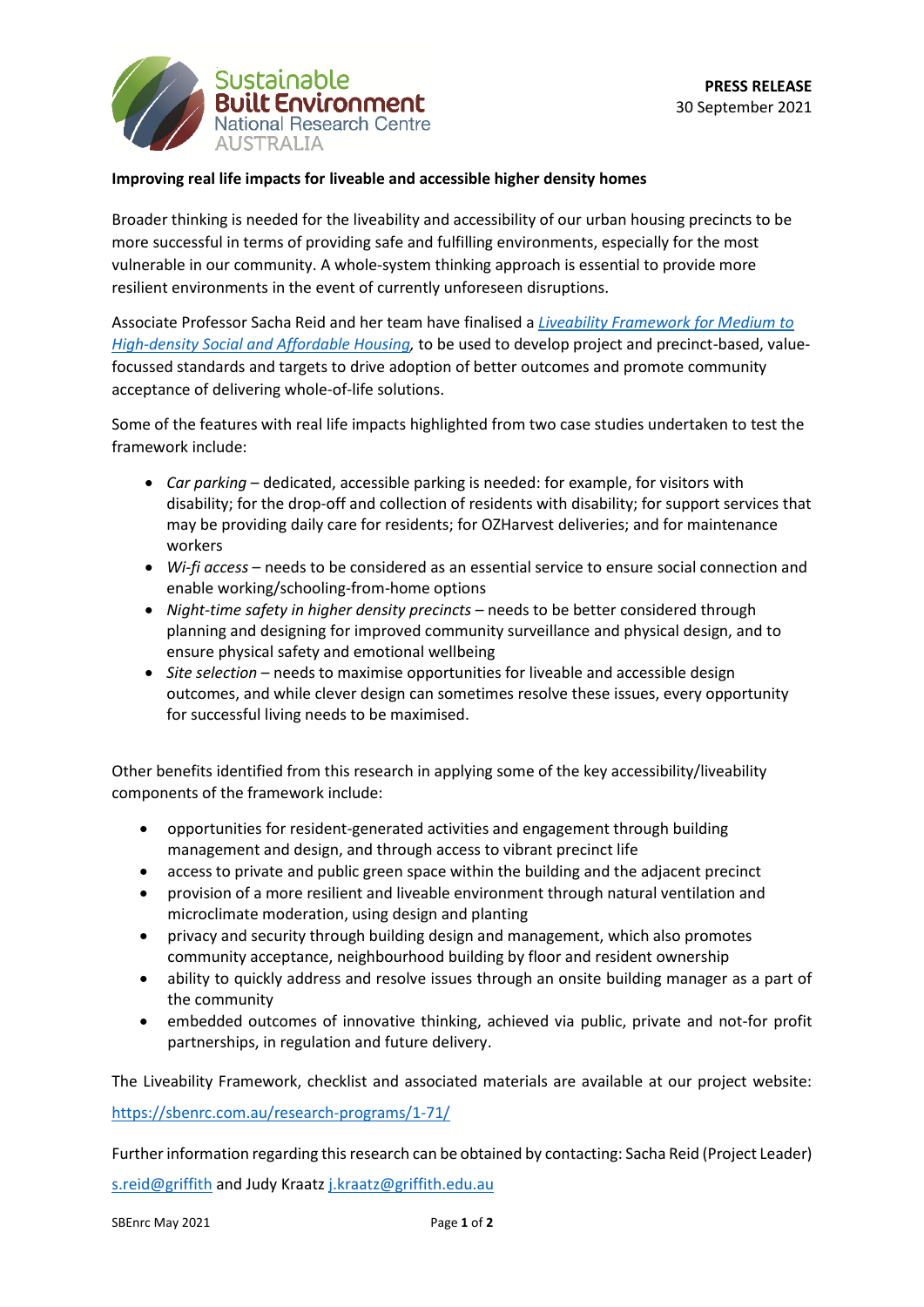

## **Improving real life impacts for liveable and accessible higher density homes**

Broader thinking is needed for the liveability and accessibility of our urban housing precincts to be more successful in terms of providing safe and fulfilling environments, especially for the most vulnerable in our community. A whole-system thinking approach is essential to provide more resilient environments in the event of currently unforeseen disruptions.

Associate Professor Sacha Reid and her team have finalised a *[Liveability Framework for Medium to](https://sbenrc.com.au/research-programs/1-71/)  [High-density Social and Affordable Housing,](https://sbenrc.com.au/research-programs/1-71/)* to be used to develop project and precinct-based, valuefocussed standards and targets to drive adoption of better outcomes and promote community acceptance of delivering whole-of-life solutions.

Some of the features with real life impacts highlighted from two case studies undertaken to test the framework include:

- *Car parking* dedicated, accessible parking is needed: for example, for visitors with disability; for the drop-off and collection of residents with disability; for support services that may be providing daily care for residents; for OZHarvest deliveries; and for maintenance workers
- *Wi-fi access* needs to be considered as an essential service to ensure social connection and enable working/schooling-from-home options
- *Night-time safety in higher density precincts* needs to be better considered through planning and designing for improved community surveillance and physical design, and to ensure physical safety and emotional wellbeing
- *Site selection* needs to maximise opportunities for liveable and accessible design outcomes, and while clever design can sometimes resolve these issues, every opportunity for successful living needs to be maximised.

Other benefits identified from this research in applying some of the key accessibility/liveability components of the framework include:

- opportunities for resident-generated activities and engagement through building management and design, and through access to vibrant precinct life
- access to private and public green space within the building and the adjacent precinct
- provision of a more resilient and liveable environment through natural ventilation and microclimate moderation, using design and planting
- privacy and security through building design and management, which also promotes community acceptance, neighbourhood building by floor and resident ownership
- ability to quickly address and resolve issues through an onsite building manager as a part of the community
- embedded outcomes of innovative thinking, achieved via public, private and not-for profit partnerships, in regulation and future delivery.

The Liveability Framework, checklist and associated materials are available at our project website: <https://sbenrc.com.au/research-programs/1-71/>

Further information regarding this research can be obtained by contacting: Sacha Reid (Project Leader)

[s.reid@griffith](mailto:s.reid@griffith) and Judy Kraat[z j.kraatz@griffith.edu.au](mailto:j.kraatz@griffith.edu.au)